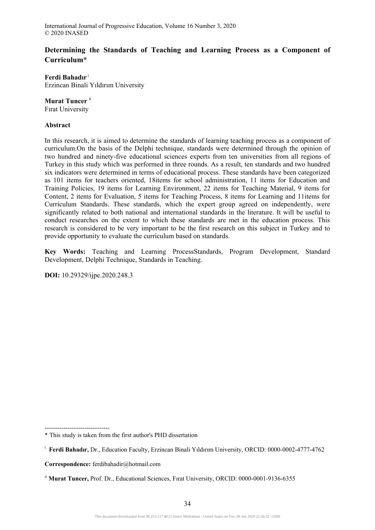# **Determining the Standards of Teaching and Learning Process as a Component of Curriculum\***

**Ferdi Bahadır** <sup>i</sup> Erzincan Binali Yıldırım University

## **Murat Tuncer** ii

Fırat University

## **Abstract**

In this research, it is aimed to determine the standards of learning teaching process as a component of curriculum.On the basis of the Delphi technique, standards were determined through the opinion of two hundred and ninety-five educational sciences experts from ten universities from all regions of Turkey in this study which was performed in three rounds. As a result, ten standards and two hundred six indicators were determined in terms of educational process. These standards have been categorized as 101 items for teachers oriented, 18items for school administration, 11 items for Education and Training Policies, 19 items for Learning Environment, 22 items for Teaching Material, 9 items for Content, 2 items for Evaluation, 5 items for Teaching Process, 8 items for Learning and 11items for Curriculum Standards. These standards, which the expert group agreed on independently, were significantly related to both national and international standards in the literature. It will be useful to conduct researches on the extent to which these standards are met in the education process. This research is considered to be very important to be the first research on this subject in Turkey and to provide opportunity to evaluate the curriculum based on standards.

**Key Words:** Teaching and Learning ProcessStandards, Program Development, Standard Development, Delphi Technique, Standards in Teaching.

**DOI:** 10.29329/ijpe.2020.248.3

<sup>-------------------------------</sup>  \* This study is taken from the first author's PHD dissertation

<sup>&</sup>lt;sup>i</sup> Ferdi Bahadır, Dr., Education Faculty, Erzincan Binali Yıldırım University, ORCID: 0000-0002-4777-4762

**Correspondence:** ferdibahadir@hotmail.com

<sup>&</sup>lt;sup>ii</sup> Murat Tuncer, Prof. Dr., Educational Sciences, Fırat University, ORCID: 0000-0001-9136-6355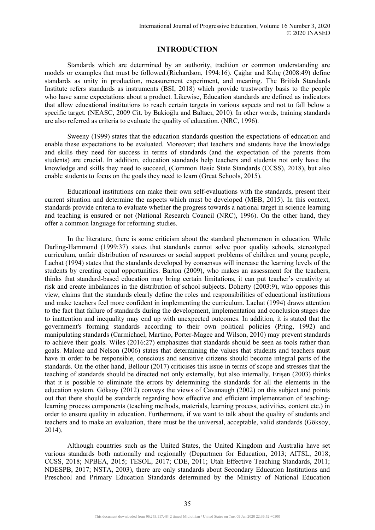## **INTRODUCTION**

Standards which are determined by an authority, tradition or common understanding are models or examples that must be followed.(Richardson, 1994:16). Çağlar and Kılıç (2008:49) define standards as unity in production, measurement experiment, and meaning. The British Standards Institute refers standards as instruments (BSI, 2018) which provide trustworthy basis to the people who have same expectations about a product. Likewise, Education standards are defined as indicators that allow educational institutions to reach certain targets in various aspects and not to fall below a specific target. (NEASC, 2009 Cit. by Bakioğlu and Baltacı, 2010). In other words, training standards are also referred as criteria to evaluate the quality of education. (NRC, 1996).

Sweeny (1999) states that the education standards question the expectations of education and enable these expectations to be evaluated. Moreover; that teachers and students have the knowledge and skills they need for success in terms of standards (and the expectation of the parents from students) are crucial. In addition, education standards help teachers and students not only have the knowledge and skills they need to succeed, (Common Basic State Standards (CCSS), 2018), but also enable students to focus on the goals they need to learn (Great Schools, 2015).

Educational institutions can make their own self-evaluations with the standards, present their current situation and determine the aspects which must be developed (MEB, 2015). In this context, standards provide criteria to evaluate whether the progress towards a national target in science learning and teaching is ensured or not (National Research Council (NRC), 1996). On the other hand, they offer a common language for reforming studies.

In the literature, there is some criticism about the standard phenomenon in education. While Darling-Hammond (1999:37) states that standards cannot solve poor quality schools, stereotyped curriculum, unfair distribution of resources or social support problems of children and young people, Lachat (1994) states that the standards developed by consensus will increase the learning levels of the students by creating equal opportunities. Barton (2009), who makes an assessment for the teachers, thinks that standard-based education may bring certain limitations, it can put teacher's creativity at risk and create imbalances in the distribution of school subjects. Doherty (2003:9), who opposes this view, claims that the standards clearly define the roles and responsibilities of educational institutions and make teachers feel more confident in implementing the curriculum. Lachat (1994) draws attention to the fact that failure of standards during the development, implementation and conclusion stages due to inattention and inequality may end up with unexpected outcomes. In addition, it is stated that the government's forming standards according to their own political policies (Pring, 1992) and manipulating standards (Carmichael, Martino, Porter-Magee and Wilson, 2010) may prevent standards to achieve their goals. Wiles (2016:27) emphasizes that standards should be seen as tools rather than goals. Malone and Nelson (2006) states that determining the values that students and teachers must have in order to be responsible, conscious and sensitive citizens should become integral parts of the standards. On the other hand, Bellour (2017) criticises this issue in terms of scope and stresses that the teaching of standards should be directed not only externally, but also internally. Erişen (2003) thinks that it is possible to eliminate the errors by determining the standards for all the elements in the education system. Göksoy (2012) conveys the views of Cavanaugh (2002) on this subject and points out that there should be standards regarding how effective and efficient implementation of teachinglearning process components (teaching methods, materials, learning process, activities, content etc.) in order to ensure quality in education. Furthermore, if we want to talk about the quality of students and teachers and to make an evaluation, there must be the universal, acceptable, valid standards (Göksoy, 2014).

Although countries such as the United States, the United Kingdom and Australia have set various standards both nationally and regionally (Departmen for Education, 2013; AITSL, 2018; CCSS, 2018; NPBEA, 2015; TESOL, 2017; CDE, 2011; Utah Effective Teaching Standards, 2011; NDESPB, 2017; NSTA, 2003), there are only standards about Secondary Education Institutions and Preschool and Primary Education Standards determined by the Ministry of National Education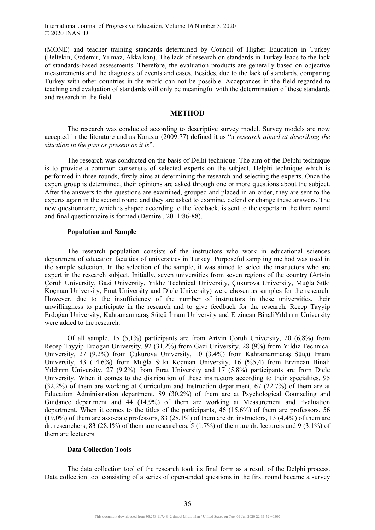(MONE) and teacher training standards determined by Council of Higher Education in Turkey (Beltekin, Özdemir, Yılmaz, Akkalkan). The lack of research on standards in Turkey leads to the lack of standards-based assessments. Therefore, the evaluation products are generally based on objective measurements and the diagnosis of events and cases. Besides, due to the lack of standards, comparing Turkey with other countries in the world can not be possible. Acceptances in the field regarded to teaching and evaluation of standards will only be meaningful with the determination of these standards and research in the field.

## **METHOD**

The research was conducted according to descriptive survey model. Survey models are now accepted in the literature and as Karasar (2009:77) defined it as "a *research aimed at describing the situation in the past or present as it is*".

The research was conducted on the basis of Delhi technique. The aim of the Delphi technique is to provide a common consensus of selected experts on the subject. Delphi technique which is performed in three rounds, firstly aims at determining the research and selecting the experts. Once the expert group is determined, their opinions are asked through one or more questions about the subject. After the answers to the questions are examined, grouped and placed in an order, they are sent to the experts again in the second round and they are asked to examine, defend or change these answers. The new questionnaire, which is shaped according to the feedback, is sent to the experts in the third round and final questionnaire is formed (Demirel, 2011:86-88).

### **Population and Sample**

The research population consists of the instructors who work in educational sciences department of education faculties of universities in Turkey. Purposeful sampling method was used in the sample selection. In the selection of the sample, it was aimed to select the instructors who are expert in the research subject. Initially, seven universities from seven regions of the country (Artvin Çoruh University, Gazi University, Yıldız Technical University, Çukurova University, Muğla Sıtkı Koçman University, Fırat University and Dicle University) were chosen as samples for the research. However, due to the insufficiency of the number of instructors in these universities, their unwillingness to participate in the research and to give feedback for the research, Recep Tayyip Erdoğan University, Kahramanmaraş Sütçü İmam University and Erzincan BinaliYıldırım University were added to the research.

Of all sample, 15 (5,1%) participants are from Artvin Çoruh University, 20 (6,8%) from Recep Tayyip Erdogan University, 92 (31,2%) from Gazi University, 28 (9%) from Yıldız Technical University, 27 (9.2%) from Çukurova University, 10 (3.4%) from Kahramanmaraş Sütçü İmam University, 43 (14.6%) from Muğla Sıtkı Koçman University, 16 (%5,4) from Erzincan Binali Yıldırım University, 27 (9.2%) from Fırat University and 17 (5.8%) participants are from Dicle University. When it comes to the distribution of these instructors according to their specialties, 95 (32.2%) of them are working at Curriculum and Instruction department, 67 (22.7%) of them are at Education Administration department, 89 (30.2%) of them are at Psychological Counseling and Guidance department and 44 (14.9%) of them are working at Measurement and Evaluation department. When it comes to the titles of the participants, 46 (15,6%) of them are professors, 56  $(19.0\%)$  of them are associate professors, 83 (28,1%) of them are dr. instructors, 13 (4,4%) of them are dr. researchers, 83 (28.1%) of them are researchers, 5 (1.7%) of them are dr. lecturers and 9 (3.1%) of them are lecturers.

#### **Data Collection Tools**

The data collection tool of the research took its final form as a result of the Delphi process. Data collection tool consisting of a series of open-ended questions in the first round became a survey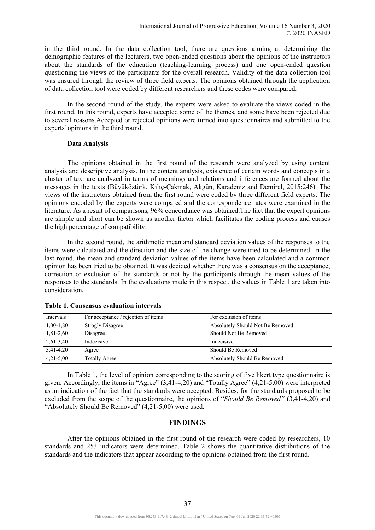in the third round. In the data collection tool, there are questions aiming at determining the demographic features of the lecturers, two open-ended questions about the opinions of the instructors about the standards of the education (teaching-learning process) and one open-ended question questioning the views of the participants for the overall research. Validity of the data collection tool was ensured through the review of three field experts. The opinions obtained through the application of data collection tool were coded by different researchers and these codes were compared.

In the second round of the study, the experts were asked to evaluate the views coded in the first round. In this round, experts have accepted some of the themes, and some have been rejected due to several reasons.Accepted or rejected opinions were turned into questionnaires and submitted to the experts' opinions in the third round.

## **Data Analysis**

The opinions obtained in the first round of the research were analyzed by using content analysis and descriptive analysis. In the content analysis, existence of certain words and concepts in a cluster of text are analyzed in terms of meanings and relations and inferences are formed about the messages in the texts (Büyüköztürk, Kılıç-Çakmak, Akgün, Karadeniz and Demirel, 2015:246). The views of the instructors obtained from the first round were coded by three different field experts. The opinions encoded by the experts were compared and the correspondence rates were examined in the literature. As a result of comparisons, 96% concordance was obtained.The fact that the expert opinions are simple and short can be shown as another factor which facilitates the coding process and causes the high percentage of compatibility.

In the second round, the arithmetic mean and standard deviation values of the responses to the items were calculated and the direction and the size of the change were tried to be determined. In the last round, the mean and standard deviation values of the items have been calculated and a common opinion has been tried to be obtained. It was decided whether there was a consensus on the acceptance, correction or exclusion of the standards or not by the participants through the mean values of the responses to the standards. In the evaluations made in this respect, the values in Table 1 are taken into consideration.

| Intervals     | For acceptance / rejection of items | For exclusion of items           |
|---------------|-------------------------------------|----------------------------------|
| $1,00-1,80$   | <b>Strogly Disagree</b>             | Absolutely Should Not Be Removed |
| $1,81-2,60$   | Disagree                            | Should Not Be Removed            |
| $2,61-3,40$   | Indecisive                          | Indecisive                       |
| 3.41-4.20     | Agree                               | Should Be Removed                |
| $4,21 - 5,00$ | <b>Totally Agree</b>                | Absolutely Should Be Removed     |

### **Table 1. Consensus evaluation intervals**

In Table 1, the level of opinion corresponding to the scoring of five likert type questionnaire is given. Accordingly, the items in "Agree" (3,41-4,20) and "Totally Agree" (4,21-5,00) were interpreted as an indication of the fact that the standards were accepted. Besides, for the standards proposed to be excluded from the scope of the questionnaire, the opinions of "*Should Be Removed"* (3,41-4,20) and "Absolutely Should Be Removed" (4,21-5,00) were used.

## **FINDINGS**

After the opinions obtained in the first round of the research were coded by researchers, 10 standards and 253 indicators were determined. Table 2 shows the quantitative distributions of the standards and the indicators that appear according to the opinions obtained from the first round.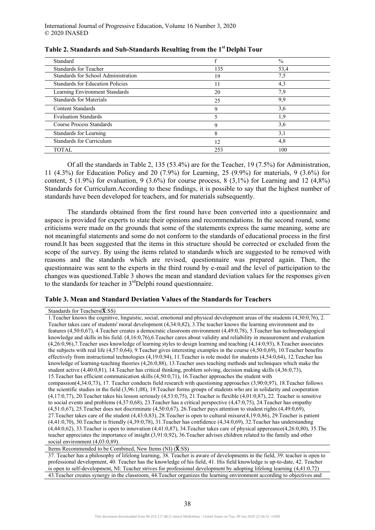| Standard                                |     | $\frac{0}{0}$ |
|-----------------------------------------|-----|---------------|
| <b>Standards for Teacher</b>            | 135 | 53,4          |
| Standards for School Administration     | 19  | 7,5           |
| <b>Standards for Education Policies</b> | 11  | 4,3           |
| <b>Learning Environment Standards</b>   | 20  | 7,9           |
| <b>Standards for Materials</b>          | 25  | 9,9           |
| <b>Content Standards</b>                | 9   | 3,6           |
| <b>Evaluation Standards</b>             |     | 1.9           |
| <b>Course Process Standards</b>         |     | 3,6           |
| Standards for Learning                  | 8   | 3,1           |
| <b>Standards for Curriculum</b>         | 12  | 4,8           |
| <b>TOTAL</b>                            | 253 | 100           |

**Table 2. Standards and Sub-Standards Resulting from the 1st Delphi Tour** 

Of all the standards in Table 2, 135 (53.4%) are for the Teacher, 19 (7.5%) for Administration, 11 (4.3%) for Education Policy and 20 (7.9%) for Learning, 25 (9.9%) for materials, 9 (3.6%) for content, 5 (1.9%) for evaluation, 9 (3.6%) for course process, 8 (3,1%) for Learning and 12 (4,8%) Standards for Curriculum.According to these findings, it is possible to say that the highest number of standards have been developed for teachers, and for materials subsequently.

The standards obtained from the first round have been converted into a questionnaire and aspace is provided for experts to state their opinions and recommendations. In the second round, some criticisms were made on the grounds that some of the statements express the same meaning, some are not meaningful statements and some do not conform to the standards of educational process in the first round.It has been suggested that the items in this structure should be corrected or excluded from the scope of the survey. By using the items related to standards which are suggested to be removed with reasons and the standards which are revised, questionnaire was prepared again. Then, the questionnaire was sent to the experts in the third round by e-mail and the level of participation to the changes was questioned.Table 3 shows the mean and standard deviation values for the responses given to the standards for teacher in 3<sup>rd</sup>Delphi round questionnaire.

## **Table 3. Mean and Standard Deviation Values of the Standards for Teachers**

#### Standards for Teachers $(\overline{\mathbf{X}}:\mathbf{SS})$

1.Teacher knows the cognitive, linguistic, social, emotional and physical development areas of the students (4,30:0,76), 2. Teacher takes care of students' moral development (4,34:0,82), 3.The teacher knows the learning environment and its features (4,50:0,67), 4.Teacher creates a democratic classroom environment (4,49:0,78), 5.Teacher has technopedagogical knowledge and skills in his field. (4,16:0,76),6.Teacher cares about validity and reliability in measurement and evaluation (4,26:0,96),7.Teacher uses knowledge of learning styles to design learning and teaching (4,14:0,93), 8.Teacher associates the subjects with real life (4,57:0,64), 9.Teacher gives interesting examples in the course (4,50:0,69), 10.Teacher benefits effectively from instructional technologies (4,19:0,94), 11.Teacher is role model for students (4,54:0,64), 12.Teacher has knowledge of learning-teaching theories (4,26:0,88), 13.Teacher uses teaching methods and techniques which make the student active (4,40:0,81), 14.Teacher has critical thinking, problem solving, decision making skills (4,36:0,73), 15.Teacher has efficient communication skills (4,50:0,71), 16.Teacher approaches the student with compassion(4,34:0,73), 17. Teacher conducts field research with questioning approaches (3,90:0,97), 18.Teacher follows the scientific studies in the field (3,96:1,08), 19.Teacher forms groups of students who are in solidarity and cooperation (4,17:0,77), 20.Teacher takes his lesson seriously (4,53:0,75), 21.Teacher is flexible (4,01:0,87), 22. Teacher is sensitive to social events and problems (4,37:0,68), 23.Teacher has a critical perspective (4,47:0,75), 24.Teacher has empathy (4,51:0,67), 25.Teacher does not discriminate (4,50:0,67), 26.Teacher pays attention to student rights (4,49:0,69), 27.Teacher takes care of the student (4,43:0,83), 28.Teacher is open to cultural mixure(4,19:0,86), 29.Teacher is patient (4,41:0,70), 30.Teacher is friendly (4,39:0,78), 31.Teacher has confidence (4,34:0,69), 32.Teacher has understanding (4,44:0,62), 33.Teacher is open to innovation (4,41:0,87), 34.Teacher takes care of physical appereance(4,26:0,80), 35.The teacher appreciates the importance of insight (3,91:0,92), 36.Teacher advises children related to the family and other social environment  $(4,03:\dot{0},89)$ .

Items Recommended to be Combined, New Items (NI)  $(\overline{\mathbf{X}}:\mathbf{SS})$ 

37. Teacher has a philosophy of lifelong learning, 38. Teacher is aware of developments in the field, 39. teacher is open to professional development, 40. Teacher has the knowledge of his field, 41. His field knowledge is up-to-date, 42. Teacher is open to self-development, NI: Teacher strives for professional development by adopting lifelong learning (4,41:0,72) 43.Teacher creates synergy in the classroom, 44.Teacher organizes the learning environment according to objectives and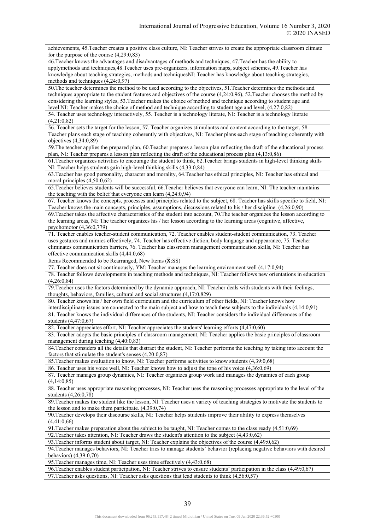achievements, 45.Teacher creates a positive class culture, NI: Teacher strives to create the appropriate classroom climate for the purpose of the course (4,29:0,83)

46.Teacher knows the advantages and disadvantages of methods and techniques, 47.Teacher has the ability to applymethods and techniques,48.Teacher uses pre-organizers, information maps, subject schemes, 49.Teacher has knowledge about teaching strategies, methods and techniquesNI: Teacher has knowledge about teaching strategies, methods and techniques (4,24:0,97)

50.The teacher determines the method to be used according to the objectives, 51.Teacher determines the methods and techniques appropriate to the student features and objectives of the course (4,24:0,96), 52.Teacher chooses the method by considering the learning styles, 53.Teacher makes the choice of method and technique according to student age and level.NI: Teacher makes the choice of method and technique according to student age and level, (4,27:0,82)

54. Teacher uses technology interactively, 55. Teacher is a technology literate, NI: Teacher is a technology literate (4,21:0,82)

56. Teacher sets the target for the lesson, 57. Teacher organizes stimulantss and content according to the target, 58. Teacher plans each stage of teaching coherently with objectives, NI: Teacher plans each stage of teaching coherently with objectives (4,34:0,89)

59.The teacher applies the prepared plan, 60.Teacher prepares a lesson plan reflecting the draft of the educational process plan, NI: Teacher prepares a lesson plan reflecting the draft of the educational process plan (4,13:0,86)

61.Teacher organizes activities to encourage the student to think, 62.Teacher brings students in high-level thinking skills NI: Teacher helps students gain high-level thinking skills (4,33:0,84)

63.Teacher has good personality, character and morality, 64.Teacher has ethical principles, NI: Teacher has ethical and moral principles (4,50:0,62)

65.Teacher believes students will be successful, 66.Teacher believes that everyone can learn, NI: The teacher maintains the teaching with the belief that everyone can learn (4,24:0,94)

67. Teacher knows the concepts, processes and principles related to the subject, 68. Teacher has skills specific to field, NI: Teacher knows the main concepts, principles, assumptions, discussions related to his / her discipline. (4,26:0,90)

69.Teacher takes the affective characteristics of the student into account, 70.The teacher organizes the lesson according to the learning areas, NI: The teacher organizes his / her lesson according to the learning areas (cognitive, affective, psychomotor (4,36:0,779)

71. Teacher enables teacher-student communication, 72. Teacher enables student-student communication, 73. Teacher uses gestures and mimics effectively, 74. Teacher has effective diction, body language and appearance, 75. Teacher eliminates communication barriers, 76. Teacher has classroom management communication skills, NI: Teacher has effective communication skills (4,44:0,68)

Items Recommended to be Rearranged, New Items  $(\overline{\mathbf{X}}:SS)$ 

77. Teacher does not sit continuously, YM: Teacher manages the learning environment well (4,17:0,94)

78. Teacher follows developments in teaching methods and techniques, NI: Teacher follows new orientations in education (4,26:0,84)

79.Teacher uses the factors determined by the dynamic approach, NI: Teacher deals with students with their feelings, thoughts, behaviors, families, cultural and social structures.(4,17:0,829)

80. Teacher knows his / her own field curriculum and the curriculum of other fields, NI: Teacher knows how

interdisciplinary issues are connected to the main subject and how to teach these subjects to the individuals (4,14:0,91) 81. Teacher knows the individual differences of the students, NI: Teacher considers the individual differences of the students (4,47:0,67)

82. Teacher appreciates effort, NI: Teacher appreciates the students' learning efforts (4,47:0,60)

83. Teacher adopts the basic principles of classroom management, NI: Teacher applies the basic principles of classroom management during teaching (4,40:0,83)

84.Teacher considers all the details that distract the student, NI: Teacher performs the teaching by taking into account the factors that stimulate the student's senses (4,20:0,87)

85.Teacher makes evaluation to know, NI: Teacher performs activities to know students (4,39:0,68)

86. Teacher uses his voice well, NI: Teacher knows how to adjust the tone of his voice (4,36:0,69)

87. Teacher manages group dynamics, NI: Teacher organizes group work and manages the dynamics of each group (4,14:0,85)

88. Teacher uses appropriate reasoning processes, NI: Teacher uses the reasoning processes appropriate to the level of the students (4,26:0,78)

89.Teacher makes the student like the lesson, NI: Teacher uses a variety of teaching strategies to motivate the students to the lesson and to make them participate. (4,39:0,74)

90.Teacher develops their discourse skills, NI: Teacher helps students improve their ability to express themselves (4,41:0,66)

91.Teacher makes preparation about the subject to be taught, NI: Teacher comes to the class ready (4,51:0,69)

92.Teacher takes attention, NI: Teacher draws the student's attention to the subject (4,43:0,62)

93.Teacher informs student about target, NI: Teacher explains the objectives of the course (4,49:0,62)

94.Teacher manages behaviors, NI: Teacher tries to manage students' behavior (replacing negative behaviors with desired behaviors) (4,39:0,70)

95.Teacher manages time, NI: Teacher uses time effectively (4,43:0,68)

96.Teacher enables student participation, NI: Teacher strives to ensure students' participation in the class (4,49:0,67)

97.Teacher asks questions, NI: Teacher asks questions that lead students to think (4,56:0,57)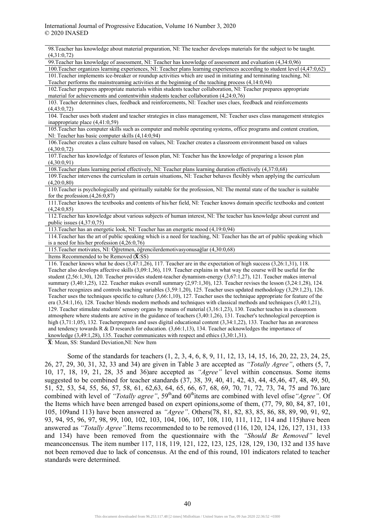| 98. Teacher has knowledge about material preparation, NI: The teacher develops materials for the subject to be taught.<br>(4,31:0,72) |
|---------------------------------------------------------------------------------------------------------------------------------------|
| 99. Teacher has knowledge of assessment, NI: Teacher has knowledge of assessment and evaluation (4,34:0,96)                           |
| 100. Teacher organizes learning experiences, NI: Teacher plans learning experiences according to student level (4,47:0,62)            |
| 101. Teacher implements ice-breaker or roundup activities which are used in initiating and terminating teaching, NI:                  |
| Teacher performs the mainstreaming activities at the beginning of the teaching process (4,14:0,94)                                    |
| 102. Teacher prepares appropriate materials within students teacher collaboration, NI: Teacher prepares appropriate                   |
| material for achievements and contentwithin students teacher collaboration (4,24:0,76)                                                |
| 103. Teacher determines clues, feedback and reinforcements, NI: Teacher uses clues, feedback and reinforcements                       |
| (4,43:0,72)                                                                                                                           |
| 104. Teacher uses both student and teacher strategies in class management, NI: Teacher uses class management strategies               |
| inappropriate place (4,41:0,59)                                                                                                       |
| 105. Teacher has computer skills such as computer and mobile operating systems, office programs and content creation,                 |
| NI: Teacher has basic computer skills (4,14:0,94)                                                                                     |
| 106. Teacher creates a class culture based on values, NI: Teacher creates a classroom environment based on values                     |
| (4,30:0,72)                                                                                                                           |
| 107. Teacher has knowledge of features of lesson plan, NI: Teacher has the knowledge of preparing a lesson plan<br>(4,30:0,91)        |
| 108. Teacher plans learning period effectively, NI: Teacher plans learning duration effectively (4,37:0,68)                           |
| 109. Teacher intervenes the curriculum in certain situations, NI: Teacher behaves flexibly when applying the curriculum               |
| (4,20:0,80)                                                                                                                           |
| 110. Teacher is psychologically and spiritually suitable for the profession, NI: The mental state of the teacher is suitable          |
| for the profession. $(4,26:0,87)$                                                                                                     |
| 111. Teacher knows the textbooks and contents of his/her field, NI: Teacher knows domain specific textbooks and content               |
| (4,24:0,85)                                                                                                                           |
| 112. Teacher has knowledge about various subjects of human interest, NI: The teacher has knowledge about current and                  |
| public issues $(4,37:0,75)$                                                                                                           |
| 113. Teacher has an energetic look, NI: Teacher has an energetic mood (4,19:0,94)                                                     |
| 114. Teacher has the art of public speaking which is a need for teaching, NI: Teacher has the art of public speaking which            |
| is a need for his/her profession $(4,26:0,76)$                                                                                        |
| 115. Teacher motivates, NI: Öğretmen, öğrencilerdemotivasyonusağlar (4,30:0,68)                                                       |
| Items Recommended to be Removed $(\overline{\mathbf{X}}$ :SS)                                                                         |
| 116. Teacher knows what he does $(3,47:1,26)$ , 117. Teacher are in the expectation of high success $(3,26:1,31)$ , 118.              |
| Teacher also develops affective skills (3,09:1,36), 119. Teacher explains in what way the course will be useful for the               |
| student $(2,56:1,30)$ , 120. Teacher provides student-teacher dynamism-energy $(3,67:1,27)$ , 121. Teacher makes interval             |
| summary (3,40:1,25), 122. Teacher makes overall summary (2,97:1,30), 123. Teacher revises the lesson (3,24:1,28), 124.                |
| Teacher recognizes and controls teaching variables $(3,59:1,20)$ , 125. Teacher uses updated methodology $(3,29:1,23)$ , 126.         |
| Teacher uses the techniques specific to culture $(3,66:1,10)$ , 127. Teacher uses the technique appropriate for feature of the        |
| era $(3,54:1,16)$ , 128. Teacher blends modern methods and techniques with classical methods and techniques $(3,40:1,21)$ ,           |
| 129. Teacher stimulate students' sensory organs by means of material (3,16:1,23), 130. Teacher teaches in a classroom                 |
| atmosphere where students are active in the guidance of teachers $(3,40.1,26)$ , 131. Teacher's technological perception is           |
| high $(3,71:1,05)$ , 132. Teacherprepares and uses digital educational content $(3,34:1,22)$ , 133. Teacher has an awareness          |
| and tendency towards R $\&$ D research for education (3.66:1.13) 134. Teacher acknowledges the importance of                          |

knowledge (3,49:1,28), 135. Teacher communicates with respect and ethics (3,30:1,31).

 $\overline{X}$ : Mean, SS: Standard Deviation, NI: New Item

Some of the standards for teachers (1, 2, 3, 4, 6, 8, 9, 11, 12, 13, 14, 15, 16, 20, 22, 23, 24, 25, 26, 27, 29, 30, 31, 32, 33 and 34) are given in Table 3 are accepted as *"Totally Agree"*, others (5, 7, 10, 17, 18, 19, 21, 28, 35 and 36)are accepted as *"Agree"* level within concensus. Some items suggested to be combined for teacher standards (37, 38, 39, 40, 41, 42, 43, 44, 45,46, 47, 48, 49, 50, 51, 52, 53, 54, 55, 56, 57, 58, 61, 62,63, 64, 65, 66, 67, 68, 69, 70, 71, 72, 73, 74, 75 and 76.)are combined with level of *"Totally agree"*, 59<sup>th</sup>and 60<sup>th</sup>items are combined with level ofise "Agree". Of the Items which have been arrenged based on expert opinions,some of them, (77, 79, 80, 84, 87, 101, 105, 109and 113) have been answered as *"Agree"*. Others(78, 81, 82, 83, 85, 86, 88, 89, 90, 91, 92, 93, 94, 95, 96, 97, 98, 99, 100, 102, 103, 104, 106, 107, 108, 110, 111, 112, 114 and 115)have been answered as *"Totally Agree".*Items recommended to to be removed (116, 120, 124, 126, 127, 131, 133 and 134) have been removed from the questionnaire with the *"Should Be Removed"* level meanconcensus*.* The item number 117, 118, 119, 121, 122, 123, 125, 128, 129, 130, 132 and 135 have not been removed due to lack of concensus. At the end of this round, 101 indicators related to teacher standards were determined.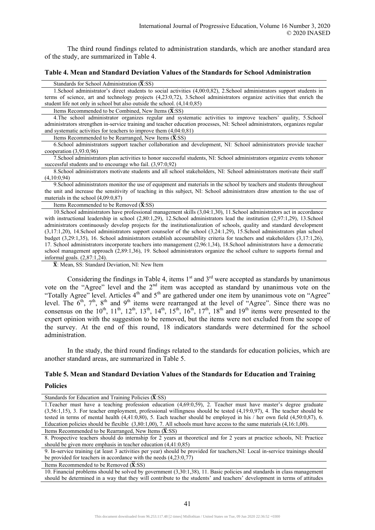The third round findings related to administration standards, which are another standard area of the study, are summarized in Table 4.

#### **Table 4. Mean and Standard Deviation Values of the Standards for School Administration**

Standards for School Administration  $(\overline{\mathbf{X}}$ :SS)

1.School administrator's direct students to social activities (4,00:0,82), 2.School administrators support students in terms of science, art and technology projects (4,23:0,72), 3.School administrators organize activities that enrich the student life not only in school but also outside the school. (4,14:0,85)

Items Recommended to be Combined, New Items  $(\overline{\mathbf{X}}:SS)$ 

4.The school administrator organizes regular and systematic activities to improve teachers' quality, 5.School administrators strengthen in-service training and teacher education processes, NI: School administrators, organizes regular and systematic activities for teachers to improve them (4,04:0,81)

Items Recommended to be Rearranged, New Items  $(\overline{\mathbf{X}}$ :SS)

6.School administrators support teacher collaboration and development, NI: School administrators provide teacher cooperation (3,93:0,96)

7.School administrators plan activities to honor successful students, NI: School administrators organize events tohonor successful students and to encourage who fail. (3,97:0,92)

8.School administrators motivate students and all school stakeholders, NI: School administrators motivate their staff (4,10:0,94)

9.School administrators monitor the use of equipment and materials in the school by teachers and students throughout the unit and increase the sensitivity of teaching in this subject, NI: School administrators draw attention to the use of materials in the school (4,09:0,87)

Items Recommended to be Removed  $(\overline{\mathbf{X}}:SS)$ 

10.School administrators have professional management skills (3,04:1,30), 11.School administrators act in accordance with instructional leadership in school (2,80:1,29), 12.School administrators lead the institution (2,97:1,29), 13.School administrators continuously develop projects for the institutionalization of schools, quality and standard development (3,17:1,20), 14.School administrators support counselor of the school (3,24:1,29), 15.School administrators plan school budget (3,29:1,35), 16. School administrators establish accountability criteria for teachers and stakeholders (3,17:1,26), 17. School administrators incorporate teachers into management (2,96:1,34), 18.School administrators have a democratic school management approach (2,89:1,36), 19. School administrators organize the school culture to supports formal and informal goals. (2,87:1,24).

̅: Mean, SS: Standard Deviation, NI: New Item

Considering the findings in Table 4, items  $1<sup>st</sup>$  and  $3<sup>rd</sup>$  were accepted as standards by unanimous vote on the "Agree" level and the 2<sup>nd</sup> item was accepted as standard by unanimous vote on the "Totally Agree" level. Articles  $4<sup>th</sup>$  and  $5<sup>th</sup>$  are gathered under one item by unanimous vote on "Agree" level. The  $6<sup>th</sup>$ ,  $7<sup>th</sup>$ ,  $8<sup>th</sup>$  and  $9<sup>th</sup>$  items were rearranged at the level of "Agree". Since there was no consensus on the  $10^{th}$ ,  $11^{th}$ ,  $12^{th}$ ,  $13^{th}$ ,  $14^{th}$ ,  $15^{th}$ ,  $16^{th}$ ,  $17^{th}$ ,  $18^{th}$  and  $19^{th}$  items were presented to the expert opinion with the suggestion to be removed, but the items were not excluded from the scope of the survey. At the end of this round, 18 indicators standards were determined for the school administration.

In the study, the third round findings related to the standards for education policies, which are another standard areas, are summarized in Table 5.

### **Table 5. Mean and Standard Deviation Values of the Standards for Education and Training**

### **Policies**

Standards for Education and Training Policies  $(\overline{\mathbf{X}}$ :SS)

1.Teacher must have a teaching profession education (4,69:0,59), 2. Teacher must have master's degree graduate (3,56:1,15), 3. For teacher employment, professional willingness should be tested (4,19:0,97), 4. The teacher should be tested in terms of mental health (4,41:0,80), 5. Each teacher should be employed in his / her own field (4,50:0,87), 6. Education policies should be flexible (3,80:1,00), 7. All schools must have access to the same materials (4,16:1,00). Items Recommended to be Rearranged, New Items  $(\overline{\mathbf{X}}:\mathbf{SS})$ 

8. Prospective teachers should do internship for 2 years at theoretical and for 2 years at practice schools, NI: Practice should be given more emphasis in teacher education (4,41:0,85)

9. In-service training (at least 3 activities per year) should be provided for teachers,NI: Local in-service trainings should be provided for teachers in accordance with the needs (4,23:0,77)

Items Recommended to be Removed  $(\overline{\mathbf{X}}$ :SS)

10. Financial problems should be solved by government (3,30:1,38), 11. Basic policies and standards in class management should be determined in a way that they will contribute to the students' and teachers' development in terms of attitudes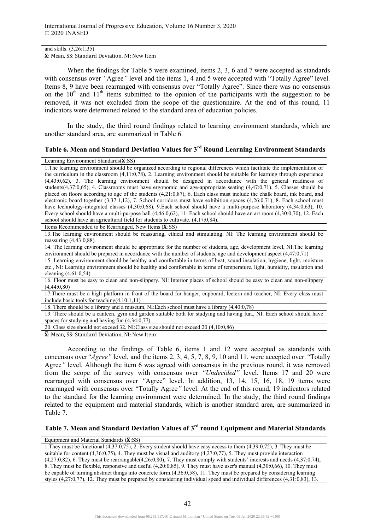and skills. (3,26:1,35)

 $\overline{X}$ : Mean, SS: Standard Deviation, NI: New Item

When the findings for Table 5 were examined, items 2, 3, 6 and 7 were accepted as standards with consensus over *"*Agree*"* level and the items 1, 4 and 5 were accepted with "Totally Agree" level. Items 8, 9 have been rearranged with consensus over "Totally Agree". Since there was no consensus on the  $10<sup>th</sup>$  and  $11<sup>th</sup>$  items submitted to the opinion of the participants with the suggestion to be removed, it was not excluded from the scope of the questionnaire. At the end of this round, 11 indicators were determined related to the standard area of education policies.

In the study, the third round findings related to learning environment standards, which are another standard area, are summarized in Table 6.

## **Table 6. Mean and Standard Deviation Values for 3rd Round Learning Environment Standards**

#### Learning Environment Standards( $\overline{\mathbf{X}}$ :SS)

1.The learning environment should be organized according to regional differences which facilitate the implementation of the curriculum in the classroom (4,11:0,78), 2. Learning environment should be suitable for learning through experience (4,43:0,62), 3. The learning environment should be designed in accordance with the general readiness of students(4,37:0,65), 4. Classrooms must have ergonomic and age-appropriate seating (4,47:0,71), 5. Classes should be placed on floors according to age of the students (4,21:0,87), 6. Each class must include the chalk board, ink board, and electronic board together (3,37:1,12), 7. School corridors must have exhibition spaces (4,26:0,71), 8. Each school must have technology-integrated classes (4,30:0,68), 9. Each school should have a multi-purpose laboratory (4,34:0,63), 10. Every school should have a multi-purpose hall (4,46:0,62), 11. Each school should have an art room (4,30:0,70), 12. Each school should have an agricultural field for students to cultivate. (4,17:0,84).

Items Recommended to be Rearranged, New Items  $(\overline{\mathbf{X}}:\mathbf{SS})$ 

13.The learning environment should be reassuring, ethical and stimulating. NI: The learning environment should be reassuring (4,43:0,88).

14. The learning environment should be appropriate for the number of students, age, development level, NI:The learning environment should be prepared in accordance with the number of students, age and development aspect (4,47:0,71)

15. Learning environment should be healthy and comfortable in terms of heat, sound insulation, hygiene, light, moisture etc., NI: Learning environment should be healthy and comfortable in terms of temperature, light, humidity, insulation and cleaning (4,61:0,54)

16. Floor must be easy to clean and non-slippery, NI: Interior places of school should be easy to clean and non-slippery (4,44:0,80)

17.There must be a high platform in front of the board for hanger, cupboard, lectern and teacher, NI: Every class must include basic tools for teaching(4.10:1,11)

18. There should be a library and a museum, NI:Each school must have a library (4,40:0,78)

19. There should be a canteen, gym and garden suitable both for studying and having fun., NI: Each school should have spaces for studying and having fun (4,34:0,77)

20. Class size should not exceed 32, NI:Class size should not exceed 20 (4,10:0,86)

 $\overline{X}$ : Mean, SS: Standard Deviation, NI: New Item

According to the findings of Table 6, items 1 and 12 were accepted as standards with concensus over*"Agree"* level, and the items 2, 3, 4, 5, 7, 8, 9, 10 and 11. were accepted over *"*Totally Agree*"* level*.* Although the item 6 was agreed with consensus in the previous round, it was removed from the scope of the survey with consensus over *"Undecided"* level. Items 17 and 20 were rearranged with consensus over *"*Agree" level. In addition, 13, 14, 15, 16, 18, 19 items were rearranged with consensus over "Totally Agree*"* level. At the end of this round, 19 indicators related to the standard for the learning environment were determined. In the study, the third round findings related to the equipment and material standards, which is another standard area, are summarized in Table 7.

# **Table 7. Mean and Standard Deviation Values of 3rd round Equipment and Material Standards**

#### Equipment and Material Standards  $(\overline{\mathbf{X}}$ :SS)

1.They must be functional (4,37:0,75), 2. Every student should have easy access to them (4,39:0,72), 3. They must be suitable for content  $(4,36.0,75)$ , 4. They must be visual and auditory  $(4,27.0,77)$ , 5. They must provide interaction  $(4.27:0.82)$ , 6. They must be rearrangable $(4.26:0.80)$ , 7. They must comply with students' interests and needs  $(4.37:0.74)$ , 8. They must be flexible, responsive and useful (4,20:0,85), 9. They must have user's manual (4,30:0,66), 10. They must be capable of turning abstract things into concrete form.(4,36:0,58), 11. They must be prepared by considering learning styles (4,27:0,77), 12. They must be prepared by considering individual speed and individual differences (4,31:0,83), 13.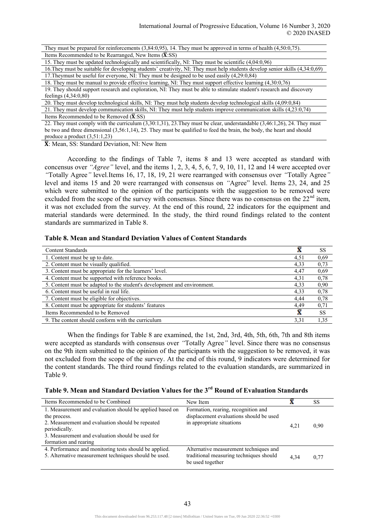They must be prepared for reinforcements (3,84:0,95), 14. They must be approved in terms of health (4,50:0,75). Items Recommended to be Rearranged, New Items  $(\overline{\mathbf{X}}:\mathbf{SS})$ 

15. They must be updated technologically and scientifically, NI: They must be scientific (4,04:0,96)

16.They must be suitable for developing students' creativity, NI: They must help students develop senior skills (4,34:0,69) 17.Theymust be useful for everyone, NI: They must be designed to be used easily (4,29:0,84)

18. They must be manual to provide effective learning, NI: They must support effective learning (4,30:0,76)

19. They should support research and exploration, NI: They must be able to stimulate student's research and discovery feelings (4,34:0,80)

20. They must develop technological skills, NI: They must help students develop technological skills (4,09:0,84)

21. They must develop communication skills, NI: They must help students improve communication skills (4,23:0,74) Items Recommended to be Removed  $(\overline{\mathbf{X}}:SS)$ 

22. They must comply with the curriculum (3,30:1,31), 23.They must be clear, understandable (3,46:1,26), 24. They must be two and three dimensional (3,56:1,14), 25. They must be qualified to feed the brain, the body, the heart and should produce a product (3,51:1,23)

 $\overline{X}$ : Mean, SS: Standard Deviation, NI: New Item

According to the findings of Table 7, items 8 and 13 were accepted as standard with concensus over *"Agree"* level, and the items 1, 2, 3, 4, 5, 6, 7, 9, 10, 11, 12 and 14 were accepted over *"*Totally Agree*"* level*.*Items 16, 17, 18, 19, 21 were rearranged with consensus over *"*Totally Agree*"*  level and items 15 and 20 were rearranged with consensus on *"*Agree" level. Items 23, 24, and 25 which were submitted to the opinion of the participants with the suggestion to be removed were excluded from the scope of the survey with consensus. Since there was no consensus on the  $22<sup>nd</sup>$  item, it was not excluded from the survey. At the end of this round, 22 indicators for the equipment and material standards were determined. In the study, the third round findings related to the content standards are summarized in Table 8.

## **Table 8. Mean and Standard Deviation Values of Content Standards**

| <b>Content Standards</b>                                                 | x    | SS        |
|--------------------------------------------------------------------------|------|-----------|
| 1. Content must be up to date.                                           | 4,51 | 0,69      |
| 2. Content must be visually qualified.                                   | 4,33 | 0,73      |
| 3. Content must be appropriate for the learners' level.                  | 4,47 | 0,69      |
| 4. Content must be supported with reference books.                       | 4,31 | 0,78      |
| 5. Content must be adapted to the student's development and environment. | 4,33 | 0,90      |
| 6. Content must be useful in real life.                                  | 4,33 | 0,78      |
| 7. Content must be eligible for objectives.                              | 4.44 | 0,78      |
| 8. Content must be appropriate for students' features                    | 4,49 | 0,71      |
| Items Recommended to be Removed                                          | Ā    | <b>SS</b> |
| 9. The content should conform with the curriculum                        | 3,31 | 1,35      |

When the findings for Table 8 are examined, the 1st, 2nd, 3rd, 4th, 5th, 6th, 7th and 8th items were accepted as standards with consensus over *"*Totally Agree*"* level. Since there was no consensus on the 9th item submitted to the opinion of the participants with the suggestion to be removed, it was not excluded from the scope of the survey. At the end of this round, 9 indicators were determined for the content standards. The third round findings related to the evaluation standards, are summarized in Table 9.

| Table 9. Mean and Standard Deviation Values for the 3 <sup>rd</sup> Round of Evaluation Standards |  |  |
|---------------------------------------------------------------------------------------------------|--|--|
|---------------------------------------------------------------------------------------------------|--|--|

| Items Recommended to be Combined                                                                                                                                                                                           | New Item                                                                                                    |      | SS   |
|----------------------------------------------------------------------------------------------------------------------------------------------------------------------------------------------------------------------------|-------------------------------------------------------------------------------------------------------------|------|------|
| 1. Measurement and evaluation should be applied based on<br>the process.<br>2. Measurement and evaluation should be repeated<br>periodically.<br>3. Measurement and evaluation should be used for<br>formation and rearing | Formation, rearing, recognition and<br>displacement evaluations should be used<br>in appropriate situations | 4.21 | 0.90 |
| 4. Performance and monitoring tests should be applied.<br>5. Alternative measurement techniques should be used.                                                                                                            | Alternative measurement techniques and<br>traditional measuring techniques should<br>be used together       | 4.34 | 0.77 |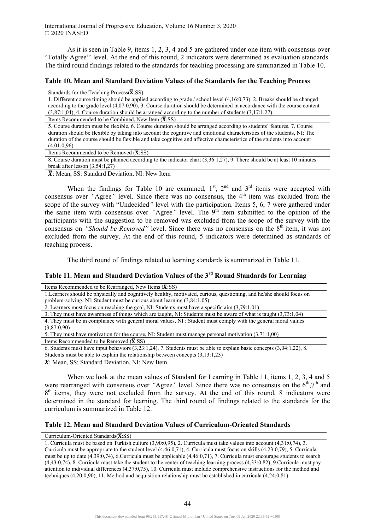As it is seen in Table 9, items 1, 2, 3, 4 and 5 are gathered under one item with consensus over "Totally Agree'' level. At the end of this round, 2 indicators were determined as evaluation standards. The third round findings related to the standards for teaching processing are summarized in Table 10.

## **Table 10. Mean and Standard Deviation Values of the Standards for the Teaching Process**

| Standards for the Teaching Process $(X:SS)$                                                                                |
|----------------------------------------------------------------------------------------------------------------------------|
| 1. Different course timing should be applied according to grade / school level $(4,16:0,73)$ , 2. Breaks should be changed |
| according to the grade level $(4.07.0.90)$ , 3. Course duration should be determined in accordance with the course content |
| $(3,87:1,04)$ , 4. Course duration should be arranged according to the number of students $(3,17:1,27)$ .                  |
| Items Recommended to be Combined, New Item (X:SS)                                                                          |

5. Course duration must be flexible, 6. Course duration should be arranged according to students' features, 7. Course duration should be flexible by taking into account the cognitive and emotional characteristics of the students, NI: The duration of the course should be flexible and take cognitive and affective characteristics of the students into account (4,01:0,96).

Items Recommended to be Removed  $(\overline{\mathbf{X}}$ :SS)

8. Course duration must be planned according to the indicator chart (3,36:1,27), 9. There should be at least 10 minutes break after lesson  $(3,54:1,27)$ 

 $\overline{X}$ : Mean, SS: Standard Deviation, NI: New Item

When the findings for Table 10 are examined,  $1<sup>st</sup>$ ,  $2<sup>nd</sup>$  and  $3<sup>rd</sup>$  items were accepted with consensus over "Agree" level. Since there was no consensus, the 4<sup>th</sup> item was excluded from the scope of the survey with "Undecided*"* level with the participation. Items 5, 6, 7 were gathered under the same item with consensus over "Agree" level. The 9<sup>th</sup> item submitted to the opinion of the participants with the suggestion to be removed was excluded from the scope of the survey with the consensus on *"Should be Removed"* level. Since there was no consensus on the 8<sup>th</sup> item, it was not excluded from the survey. At the end of this round, 5 indicators were determined as standards of teaching process.

The third round of findings related to learning standards is summarized in Table 11.

# **Table 11. Mean and Standard Deviation Values of the 3rd Round Standards for Learning**

| Items Recommended to be Rearranged, New Items $(\bar{X}$ :SS)                                                               |  |
|-----------------------------------------------------------------------------------------------------------------------------|--|
| 1. Learners should be physically and cognitively healthy, motivated, curious, questioning, and he/she should focus on       |  |
| problem-solving, NI: Student must be curious about learning $(3,84:1,05)$                                                   |  |
| 2. Learners must focus on reaching the goal, NI: Students must have a specific aim (3,79:1,01)                              |  |
| 3. They must have awareness of things which are taught, NI: Students must be aware of what is taught (3,73:1,04)            |  |
| 4. They must be in compliance with general moral values, NI: Student must comply with the general moral values              |  |
| (3,87:0,90)                                                                                                                 |  |
| 5. They must have motivation for the course, NI: Student must manage personal motivation (3,71:1,00)                        |  |
| Items Recommended to be Removed $(X:SS)$                                                                                    |  |
| 6. Students must have input behaviors $(3,23:1,24)$ , 7. Students must be able to explain basic concepts $(3,04:1,22)$ , 8. |  |
| Students must be able to explain the relationship between concepts $(3,13:1,23)$                                            |  |

 $\overline{X}$ : Mean, SS: Standard Deviation, NI: New Item

When we look at the mean values of Standard for Learning in Table 11, items 1, 2, 3, 4 and 5 were rearranged with consensus over "Agree" level. Since there was no consensus on the  $6^{th}$ ,7<sup>th</sup> and 8<sup>th</sup> items, they were not excluded from the survey. At the end of this round, 8 indicators were determined in the standard for learning. The third round of findings related to the standards for the curriculum is summarized in Table 12.

### **Table 12. Mean and Standard Deviation Values of Curriculum-Oriented Standards**

#### Curriculum-Oriented Standards $(\overline{\mathbf{X}}:\mathbf{SS})$

1. Curricula must be based on Turkish culture (3,90:0,95), 2. Curricula must take values into account (4,31:0,74), 3. Curricula must be appropriate to the student level (4,46:0,71), 4. Curricula must focus on skills (4,23:0,79), 5. Curricula must be up to date (4,39:0,74), 6.Curricula must be applicable (4,46:0,71), 7. Curricula must encourage students to search (4,43:0,74), 8. Curricula must take the student to the center of teaching learning process (4,33:0,82), 9.Curricula must pay attention to individual differences (4,37:0,75), 10. Curricula must include comprehensive instructions for the method and techniques (4,20:0,90), 11. Method and acquisition relationship must be established in curricula (4,24:0,81).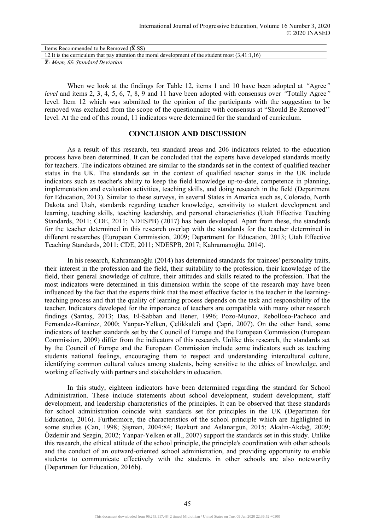| Items Recommended to be Removed $(X:SS)$                                                            |  |
|-----------------------------------------------------------------------------------------------------|--|
| 12. It is the curriculum that pay attention the moral development of the student most $(3,41:1,16)$ |  |
| $- - -$<br>$\sim$ $\sim$ $\sim$ $\sim$ $\sim$ $\sim$                                                |  |

̅: Mean, SS: Standard Deviation

When we look at the findings for Table 12, items 1 and 10 have been adopted at *"*Agree*" level* and items 2, 3, 4, 5, 6, 7, 8, 9 and 11 have been adopted with consensus over *"*Totally Agree*"* level. Item 12 which was submitted to the opinion of the participants with the suggestion to be removed was excluded from the scope of the questionnaire with consensus at "Should Be Removed'' level. At the end of this round, 11 indicators were determined for the standard of curriculum.

## **CONCLUSION AND DISCUSSION**

As a result of this research, ten standard areas and 206 indicators related to the education process have been determined. It can be concluded that the experts have developed standards mostly for teachers. The indicators obtained are similar to the standards set in the context of qualified teacher status in the UK. The standards set in the context of qualified teacher status in the UK include indicators such as teacher's ability to keep the field knowledge up-to-date, competence in planning, implementation and evaluation activities, teaching skills, and doing research in the field (Department for Education, 2013). Similar to these surveys, in several States in Amarica such as, Colorado, North Dakota and Utah, standards regarding teacher knowledge, sensitivity to student development and learning, teaching skills, teaching leadership, and personal characteristics (Utah Effective Teaching Standards, 2011; CDE, 2011; NDESPB) (2017) has been developed. Apart from these, the standards for the teacher determined in this research overlap with the standards for the teacher determined in different researches (European Commission, 2009; Department for Education, 2013; Utah Effective Teaching Standards, 2011; CDE, 2011; NDESPB, 2017; Kahramanoğlu, 2014).

In his research, Kahramanoğlu (2014) has determined standards for trainees' personality traits, their interest in the profession and the field, their suitability to the profession, their knowledge of the field, their general knowledge of culture, their attitudes and skills related to the profession. That the most indicators were determined in this dimension within the scope of the research may have been influenced by the fact that the experts think that the most effective factor is the teacher in the learningteaching process and that the quality of learning process depends on the task and responsibility of the teacher. Indicators developed for the importance of teachers are compatible with many other research findings (Sarıtaş, 2013; Das, El-Sabban and Bener, 1996; Pozo-Munoz, Rebolloso-Pacheco and Fernandez-Ramirez, 2000; Yanpar-Yelken, Çelikkaleli and Çapri, 2007). On the other hand, some indicators of teacher standards set by the Council of Europe and the European Commission (European Commission, 2009) differ from the indicators of this research. Unlike this research, the standards set by the Council of Europe and the European Commission include some indicators such as teaching students national feelings, encouraging them to respect and understanding intercultural culture, identifying common cultural values among students, being sensitive to the ethics of knowledge, and working effectively with partners and stakeholders in education.

In this study, eighteen indicators have been determined regarding the standard for School Administration. These include statements about school development, student development, staff development, and leadership characteristics of the principles. It can be observed that these standards for school administration coincide with standards set for principles in the UK (Departmen for Education, 2016). Furthermore, the characteristics of the school principle which are highlighted in some studies (Can, 1998; Şişman, 2004:84; Bozkurt and Aslanargun, 2015; Akalın-Akdağ, 2009; Özdemir and Sezgin, 2002; Yanpar-Yelken et all., 2007) support the standards set in this study. Unlike this research, the ethical attitude of the school principle, the principle's coordination with other schools and the conduct of an outward-oriented school administration, and providing opportunity to enable students to communicate effectively with the students in other schools are also noteworthy (Departmen for Education, 2016b).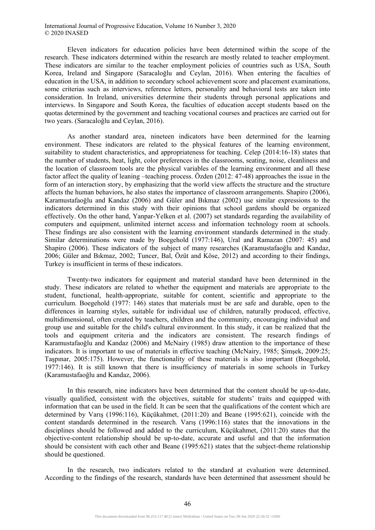Eleven indicators for education policies have been determined within the scope of the research. These indicators determined within the research are mostly related to teacher employment. These indicators are similar to the teacher employment policies of countries such as USA, South Korea, Ireland and Singapore (Saracaloğlu and Ceylan, 2016). When entering the faculties of education in the USA, in addition to secondary school achievement score and placement examinations, some criterias such as interviews, reference letters, personality and behavioral tests are taken into consideration. In Ireland, universities determine their students through personal applications and interviews. In Singapore and South Korea, the faculties of education accept students based on the quotas determined by the government and teaching vocational courses and practices are carried out for two years. (Saracaloğlu and Ceylan, 2016).

As another standard area, nineteen indicators have been determined for the learning environment. These indicators are related to the physical features of the learning environment, suitability to student characteristics, and appropriateness for teaching. Celep (2014:16-18) states that the number of students, heat, light, color preferences in the classrooms, seating, noise, cleanliness and the location of classroom tools are the physical variables of the learning environment and all these factor affect the quality of leaning –teaching process. Özden (2012: 47-48) approaches the issue in the form of an interaction story, by emphasizing that the world view affects the structure and the structure affects the human behaviors, he also states the importance of classroom arrangements. Shapiro (2006), Karamustafaoğlu and Kandaz (2006) and Güler and Bıkmaz (2002) use similar expressions to the indicators determined in this study with their opinions that school gardens should be organized effectively. On the other hand, Yanpar-Yelken et al. (2007) set standards regarding the availability of computers and equipment, unlimited internet access and information technology room at schools. These findings are also consistent with the learning environment standards determined in the study. Similar determinations were made by Boegehold (1977:146), Ural and Ramazan (2007: 45) and Shapiro (2006). These indicators of the subject of many researches (Karamustafaoğlu and Kandaz, 2006; Güler and Bıkmaz, 2002; Tuncer, Bal, Özüt and Köse, 2012) and according to their findings, Turkey is insufficient in terms of these indicators.

Twenty-two indicators for equipment and material standard have been determined in the study. These indicators are related to whether the equipment and materials are appropriate to the student, functional, health-appropriate, suitable for content, scientific and appropriate to the curriculum. Boegehold (1977: 146) states that materials must be are safe and durable, open to the differences in learning styles, suitable for individual use of children, naturally produced, effective, multidimensional, often created by teachers, children and the community, encouraging individual and group use and suitable for the child's cultural environment. In this study, it can be realized that the tools and equipment criteria and the indicators are consistent. The research findings of Karamustafaoğlu and Kandaz (2006) and McNairy (1985) draw attention to the importance of these indicators. It is important to use of materials in effective teaching (McNairy, 1985; Şimşek, 2009:25; Taşpınar, 2005:175). However, the functionality of these materials is also important (Boegehold, 1977:146). It is still known that there is insufficiency of materials in some schools in Turkey (Karamustafaoğlu and Kandaz, 2006).

In this research, nine indicators have been determined that the content should be up-to-date visually qualified, consistent with the objectives, suitable for students' traits and equipped with information that can be used in the field. It can be seen that the qualifications of the content which are determined by Varış (1996:116), Küçükahmet, (2011:20) and Beane (1995:621), coincide with the content standards determined in the research. Varış (1996:116) states that the innovations in the disciplines should be followed and added to the curriculum, Küçükahmet, (2011:20) states that the objective-content relationship should be up-to-date, accurate and useful and that the information should be consistent with each other and Beane (1995:621) states that the subject-theme relationship should be questioned.

In the research, two indicators related to the standard at evaluation were determined. According to the findings of the research, standards have been determined that assessment should be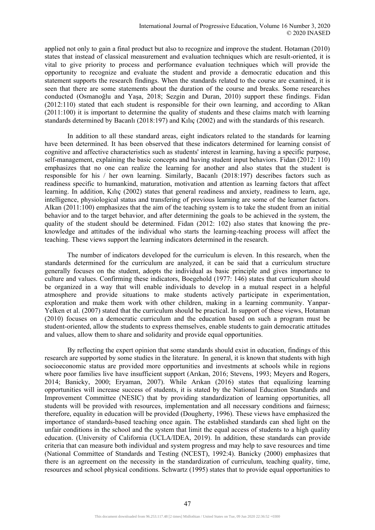applied not only to gain a final product but also to recognize and improve the student. Hotaman (2010) states that instead of classical measurement and evaluation techniques which are result-oriented, it is vital to give priority to process and performance evaluation techniques which will provide the opportunity to recognize and evaluate the student and provide a democratic education and this statement supports the research findings. When the standards related to the course are examined, it is seen that there are some statements about the duration of the course and breaks. Some researches conducted (Osmanoğlu and Yaşa, 2018; Sezgin and Duran, 2010) support these findings. Fidan (2012:110) stated that each student is responsible for their own learning, and according to Alkan (2011:100) it is important to determine the quality of students and these claims match with learning standards determined by Bacanlı (2018:197) and Kılıç (2002) and with the standards of this research.

In addition to all these standard areas, eight indicators related to the standards for learning have been determined. It has been observed that these indicators determined for learning consist of cognitive and affective characteristics such as students' interest in learning, having a specific purpose, self-management, explaining the basic concepts and having student input behaviors. Fidan (2012: 110) emphasizes that no one can realize the learning for another and also states that the student is responsible for his / her own learning. Similarly, Bacanlı (2018:197) describes factors such as readiness specific to humankind, maturation, motivation and attention as learning factors that affect learning. In addition, Kılıç (2002) states that general readiness and anxiety, readiness to learn, age, intelligence, physiological status and transfering of previous learning are some of the learner factors. Alkan (2011:100) emphasizes that the aim of the teaching system is to take the student from an initial behavior and to the target behavior, and after determining the goals to be achieved in the system, the quality of the student should be determined. Fidan (2012: 102) also states that knowing the preknowledge and attitudes of the individual who starts the learning-teaching process will affect the teaching. These views support the learning indicators determined in the research.

The number of indicators developed for the curriculum is eleven. In this research, when the standards determined for the curriculum are analyzed, it can be said that a curriculum structure generally focuses on the student, adopts the individual as basic principle and gives importance to culture and values. Confirming these indicators, Boegehold (1977: 146) states that curriculum should be organized in a way that will enable individuals to develop in a mutual respect in a helpful atmosphere and provide situations to make students actively participate in experimentation, exploration and make them work with other children, making in a learning community. Yanpar-Yelken et al. (2007) stated that the curriculum should be practical. In support of these views, Hotaman (2010) focuses on a democratic curriculum and the education based on such a program must be student-oriented, allow the students to express themselves, enable students to gain democratic attitudes and values, allow them to share and solidarity and provide equal opportunities.

By reflecting the expert opinion that some standards should exist in education, findings of this research are supported by some studies in the literature. In general, it is known that students with high socioeconomic status are provided more opportunities and investments at schools while in regions where poor families live have insufficient support (Arıkan, 2016; Stevens, 1993; Meyers and Rogers, 2014; Banicky, 2000; Eryaman, 2007). While Arıkan (2016) states that equalizing learning opportunities will increase success of students, it is stated by the National Education Standards and Improvement Committee (NESIC) that by providing standardization of learning opportunities, all students will be provided with resources, implementation and all necessary conditions and fairness; therefore, equality in education will be provided (Dougherty, 1996). These views have emphasized the importance of standards-based teaching once again. The established standards can shed light on the unfair conditions in the school and the system that limit the equal access of students to a high quality education. (University of California (UCLA/IDEA, 2019). In addition, these standards can provide criteria that can measure both individual and system progress and may help to save resources and time (National Committee of Standards and Testing (NCEST), 1992:4). Banicky (2000) emphasizes that there is an agreement on the necessity in the standardization of curriculum, teaching quality, time, resources and school physical conditions. Schwartz (1995) states that to provide equal opportunities to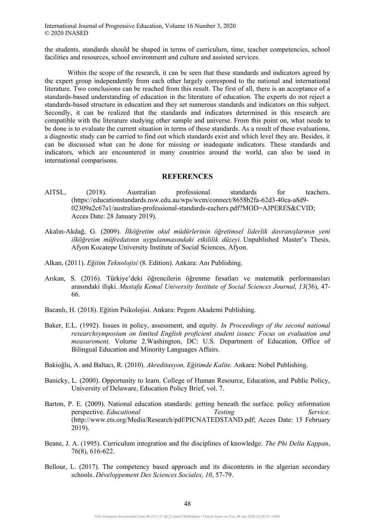the students, standards should be shaped in terms of curriculum, time, teacher competencies, school facilities and resources, school environment and culture and assisted services.

Within the scope of the research, it can be seen that these standards and indicators agreed by the expert group independently from each other largely correspond to the national and international literature. Two conclusions can be reached from this result. The first of all, there is an acceptance of a standards-based understanding of education in the literature of education. The experts do not reject a standards-based structure in education and they set numerous standards and indicators on this subject. Secondly, it can be realized that the standards and indicators determined in this research are compatible with the literature studying other sample and universe. From this point on, what needs to be done is to evaluate the current situation in terms of these standards. As a result of these evaluations, a diagnostic study can be carried to find out which standards exist and which level they are. Besides, it can be discussed what can be done for missing or inadequate indicators. These standards and indicators, which are encountered in many countries around the world, can also be used in international comparisons.

### **REFERENCES**

- AITSL, (2018). Australian professional standards for teachers. (https://educationstandards.nsw.edu.au/wps/wcm/connect/8658b2fa-62d3-40ca-a8d9- 02309a2c67a1/australian-professional-standards-eachers.pdf?MOD=AJPERES&CVID; Acces Date: 28 January 2019).
- Akalın-Akdağ, G. (2009). *İlköğretim okul müdürlerinin öğretimsel liderlik davranışlarının yeni ilköğretim müfredatının uygulanmasındaki etkililik düzeyi.* Unpublished Master's Thesis, Afyon Kocatepe University Institute of Social Sciences, Afyon.
- Alkan, (2011). *Eğitim Teknolojisi* (8. Edition). Ankara: Anı Publishing.
- Arıkan, S. (2016). Türkiye'deki öğrencilerin öğrenme fırsatları ve matematik performansları arasındaki ilişki. *Mustafa Kemal University Institute of Social Sciences Journal, 13*(36), 47- 66.
- Bacanlı, H. (2018). Eğitim Psikolojisi. Ankara: Pegem Akademi Publishing.
- Baker, E.L. (1992). Issues in policy, assessment, and equity*. In Proceedings of the second national researchsymposium on limited English proficient student issues: Focus on evaluation and measurement.* Volume 2.Washington, DC: U.S. Department of Education, Office of Bilingual Education and Minority Languages Affairs.
- Bakioğlu, A. and Baltacı, R. (2010). *Akreditasyon, Eğitimde Kalite.* Ankara: Nobel Publishing.
- Banicky, L. (2000). Opportunity to learn. College of Human Resource, Education, and Public Policy, University of Delaware, Education Policy Brief, vol. 7.
- Barton, P. E. (2009). National education standards: getting beneath the surface. policy ınformation perspective. *Educational Testing Service*. (http://www.ets.org/Media/Research/pdf/PICNATEDSTAND.pdf; Acces Date: 15 February 2019).
- Beane, J. A. (1995). Curriculum integration and the disciplines of knowledge. *The Phi Delta Kappan*, 76(8), 616-622.
- Bellour, L. (2017). The competency based approach and its discontents in the algerian secondary schools. *Développement Des Sciences Sociales, 10*, 57-79.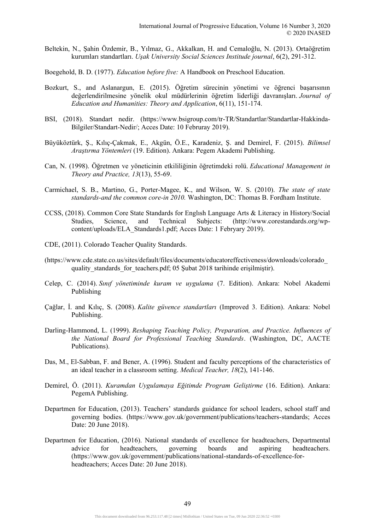- Beltekin, N., Şahin Özdemir, B., Yılmaz, G., Akkalkan, H. and Cemaloğlu, N. (2013). Ortaöğretim kurumları standartları. *Uşak University Social Sciences Institude journal*, 6(2), 291-312.
- Boegehold, B. D. (1977). *Education before five:* A Handbook on Preschool Education.
- Bozkurt, S., and Aslanargun, E. (2015). Öğretim sürecinin yönetimi ve öğrenci başarısının değerlendirilmesine yönelik okul müdürlerinin öğretim liderliği davranışları. *Journal of Education and Humanities: Theory and Application*, 6(11), 151-174.
- BSI, (2018). Standart nedir. (https://www.bsigroup.com/tr-TR/Standartlar/Standartlar-Hakkinda-Bilgiler/Standart-Nedir/; Acces Date: 10 Februray 2019).
- Büyüköztürk, Ş., Kılıç-Çakmak, E., Akgün, Ö.E., Karadeniz, Ş. and Demirel, F. (2015). *Bilimsel Araştırma Yöntemleri* (19. Edition). Ankara: Pegem Akademi Publishing.
- Can, N. (1998). Öğretmen ve yöneticinin etkililiğinin öğretimdeki rolü. *Educational Management in Theory and Practice, 13*(13), 55-69.
- Carmichael, S. B., Martino, G., Porter-Magee, K., and Wilson, W. S. (2010). *The state of state standards-and the common core-in 2010.* Washington, DC: Thomas B. Fordham Institute.
- CCSS, (2018). Common Core State Standards for Englısh Language Arts & Literacy in History/Social Studies, Science, and Technical Subjects: (http://www.corestandards.org/wpcontent/uploads/ELA\_Standards1.pdf; Acces Date: 1 Febryary 2019).
- CDE, (2011). Colorado Teacher Quality Standards.
- (https://www.cde.state.co.us/sites/default/files/documents/educatoreffectiveness/downloads/colorado\_ quality standards for teachers.pdf; 05 Şubat 2018 tarihinde erişilmiştir).
- Celep, C. (2014). *Sınıf yönetiminde kuram ve uygulama* (7. Edition). Ankara: Nobel Akademi Publishing
- Çağlar, İ. and Kılıç, S. (2008). *Kalite güvence standartları* (Improved 3. Edition). Ankara: Nobel Publishing.
- Darling-Hammond, L. (1999). *Reshaping Teaching Policy, Preparation, and Practice. Influences of the National Board for Professional Teaching Standards*. (Washington, DC, AACTE Publications).
- Das, M., El-Sabban, F. and Bener, A. (1996). Student and faculty perceptions of the characteristics of an ideal teacher in a classroom setting. *Medical Teacher, 18*(2), 141-146.
- Demirel, Ö. (2011). *Kuramdan Uygulamaya Eğitimde Program Geliştirme* (16. Edition). Ankara: PegemA Publishing.
- Departmen for Education, (2013). Teachers' standards guidance for school leaders, school staff and governing bodies. (https://www.gov.uk/government/publications/teachers-standards; Acces Date: 20 June 2018).
- Departmen for Education, (2016). National standards of excellence for headteachers, Departmental advice for headteachers, governing boards and aspiring headteachers. (https://www.gov.uk/government/publications/national-standards-of-excellence-forheadteachers; Acces Date: 20 June 2018).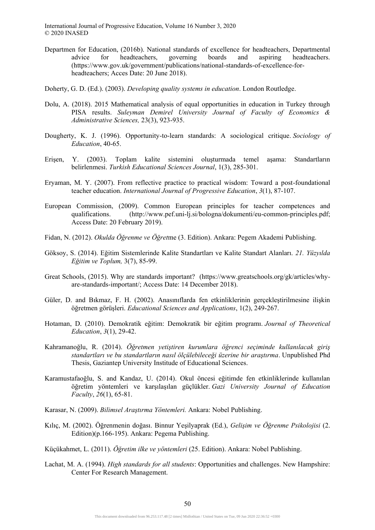- Departmen for Education, (2016b). National standards of excellence for headteachers, Departmental advice for headteachers, governing boards and aspiring headteachers. (https://www.gov.uk/government/publications/national-standards-of-excellence-forheadteachers; Acces Date: 20 June 2018).
- Doherty, G. D. (Ed.). (2003). *Developing quality systems in education*. London Routledge.
- Dolu, A. (2018). 2015 Mathematical analysis of equal opportunities in education in Turkey through PISA results. *Suleyman Demirel University Journal of Faculty of Economics & Administrative Sciences,* 23(3), 923-935.
- Dougherty, K. J. (1996). Opportunity-to-learn standards: A sociological critique. *Sociology of Education*, 40-65.
- Erişen, Y. (2003). Toplam kalite sistemini oluşturmada temel aşama: Standartların belirlenmesi. *Turkish Educational Sciences Journal*, 1(3), 285-301.
- Eryaman, M. Y. (2007). From reflective practice to practical wisdom: Toward a post-foundational teacher education. *International Journal of Progressive Education*, *3*(1), 87-107.
- European Commission, (2009). Common European principles for teacher competences and qualifications. (http://www.pef.uni-lj.si/bologna/dokumenti/eu-common-principles.pdf; Access Date: 20 February 2019).
- Fidan, N. (2012). *Okulda Öğrenme ve Öğret*me (3. Edition). Ankara: Pegem Akademi Publishing.
- Göksoy, S. (2014). Eğitim Sistemlerinde Kalite Standartları ve Kalite Standart Alanları. *21. Yüzyılda Eğitim ve Toplum,* 3(7), 85-99.
- Great Schools, (2015). Why are standards important? (https://www.greatschools.org/gk/articles/whyare-standards-important/; Access Date: 14 December 2018).
- Güler, D. and Bıkmaz, F. H. (2002). Anasınıflarda fen etkinliklerinin gerçekleştirilmesine ilişkin öğretmen görüşleri. *Educational Sciences and Applications*, 1(2), 249-267.
- Hotaman, D. (2010). Demokratik eğitim: Demokratik bir eğitim programı. *Journal of Theoretical Education*, *3*(1), 29-42.
- Kahramanoğlu, R. (2014). *Öğretmen yetiştiren kurumlara öğrenci seçiminde kullanılacak giriş standartları ve bu standartların nasıl ölçülebileceği üzerine bir araştırma*. Unpublished Phd Thesis, Gaziantep University Institude of Educational Sciences.
- Karamustafaoğlu, S. and Kandaz, U. (2014). Okul öncesi eğitimde fen etkinliklerinde kullanılan öğretim yöntemleri ve karşılaşılan güçlükler. *Gazi University Journal of Education Faculty*, *26*(1), 65-81.
- Karasar, N. (2009). *Bilimsel Araştırma Yöntemleri.* Ankara: Nobel Publishing.
- Kılıç, M. (2002). Öğrenmenin doğası. Binnur Yeşilyaprak (Ed.), *Gelişim ve Öğrenme Psikolojisi* (2. Edition)(p.166-195). Ankara: Pegema Publishing.
- Küçükahmet, L. (2011). *Öğretim ilke ve yöntemleri* (25. Edition). Ankara: Nobel Publishing.
- Lachat, M. A. (1994). *High standards for all students*: Opportunities and challenges. New Hampshire: Center For Research Management.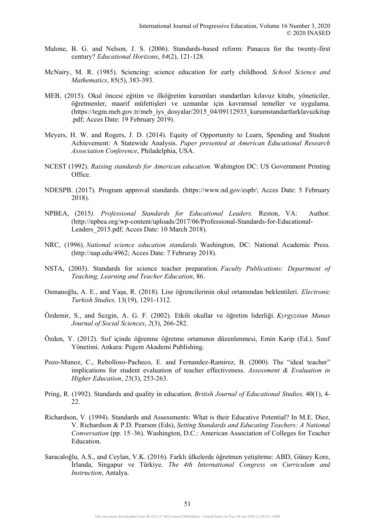- Malone, B. G. and Nelson, J. S. (2006). Standards-based reform: Panacea for the twenty-first century? *Educational Horizons*, *84*(2), 121-128.
- McNairy, M. R. (1985). Sciencing: science education for early childhood. *School Science and Mathematics*, 85(5), 383-393.
- MEB, (2015). Okul öncesi eğitim ve ilköğretim kurumları standartları kılavuz kitabı, yöneticiler, öğretmenler, maarif müfettişleri ve uzmanlar için kavramsal temeller ve uygulama. (https://tegm.meb.gov.tr/meb\_iys\_dosyalar/2015\_04/09112933\_kurumstandartlarklavuzkitap .pdf; Acces Date: 19 February 2019).
- Meyers, H. W. and Rogers, J. D. (2014). Equity of Opportunity to Learn, Spending and Student Achievement: A Statewide Analysis. *Paper presented at American Educational Research Association Conference*, Philadelphia, USA.
- NCEST (1992). *Raising standards for American education.* Wahington DC: US Government Printing Office.
- NDESPB. (2017). Program approval standards. (https://www.nd.gov/espb/; Acces Date: 5 February 2018).
- NPBEA, (2015*). Professional Standards for Educational Leaders.* Reston, VA: Author. (http://npbea.org/wp-content/uploads/2017/06/Professional-Standards-for-Educational-Leaders 2015.pdf; Acces Date: 10 March 2018).
- NRC, (1996). *National science education standards.* Washington, DC: National Academic Press. (http://nap.edu/4962; Acces Date: 7 Februray 2018).
- NSTA, (2003). Standards for science teacher preparation. *Faculty Publications: Department of Teaching, Learning and Teacher Education*, 86.
- Osmanoğlu, A. E., and Yaşa, R. (2018). Lise öğrencilerinin okul ortamından beklentileri. *Electronic Turkish Studies,* 13(19), 1291-1312.
- Özdemir, S., and Sezgin, A. G. F. (2002). Etkili okullar ve öğretim liderliği. *Kyrgyzstan Manas Journal of Social Sciences*, *2*(3), 266-282.
- Özden, Y. (2012). Sııf içinde öğrenme öğretme ortamının düzenlenmesi, Emin Karip (Ed.). Sınıf Yönetimi. Ankara: Pegem Akademi Publishing.
- Pozo-Munoz, C., Rebolloso-Pacheco, E. and Fernandez-Ramirez, B. (2000). The "ideal teacher" implications for student evaluation of teacher effectiveness. *Assessment & Evaluation in Higher Education*, *25*(3), 253-263.
- Pring, R. (1992). Standards and quality in education. *British Journal of Educational Studies,* 40(1), 4- 22.
- Richardson, V. (1994). Standards and Assessments: What is their Educative Potential? In M.E. Diez, V. Richardson & P.D. Pearson (Eds), *Setting Standards and Educating Teachers: A National Conversation* (pp. 15–36). Washington, D.C.: American Association of Colleges for Teacher Education.
- Saracaloğlu, A.S., and Ceylan, V.K. (2016). Farklı ülkelerde öğretmen yetiştirme: ABD, Güney Kore, İrlanda, Singapur ve Türkiye. *The 4th International Congress on Curriculum and Instruction*, Antalya.